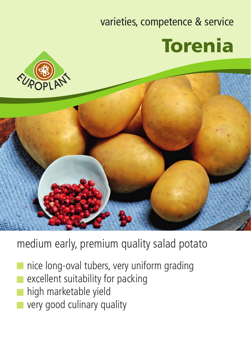## varieties, competence & service Torenia





## medium early, premium quality salad potato

- nice long-oval tubers, very uniform grading
- excellent suitability for packing
- high marketable yield
- very good culinary quality